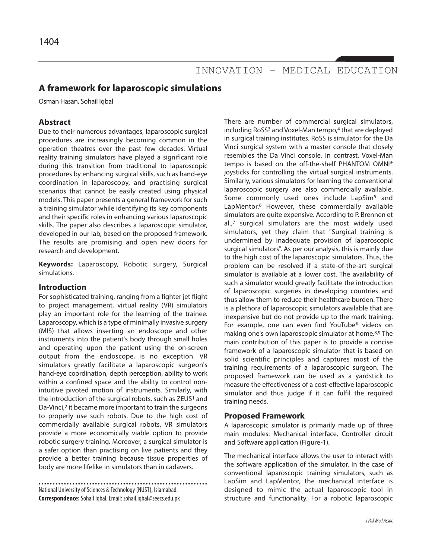# INNOVATION - MEDICAL EDUCATION

# **A framework for laparoscopic simulations**

Osman Hasan, Sohail Iqbal

## **Abstract**

Due to their numerous advantages, laparoscopic surgical procedures are increasingly becoming common in the operation theatres over the past few decades. Virtual reality training simulators have played a significant role during this transition from traditional to laparoscopic procedures by enhancing surgical skills, such as hand-eye coordination in laparoscopy, and practising surgical scenarios that cannot be easily created using physical models. This paper presents a general framework for such a training simulator while identifying its key components and their specific roles in enhancing various laparoscopic skills. The paper also describes a laparoscopic simulator, developed in our lab, based on the proposed framework. The results are promising and open new doors for research and development.

**Keywords:** Laparoscopy, Robotic surgery, Surgical simulations.

#### **Introduction**

For sophisticated training, ranging from a fighter jet flight to project management, virtual reality (VR) simulators play an important role for the learning of the trainee. Laparoscopy, which is a type of minimally invasive surgery (MIS) that allows inserting an endoscope and other instruments into the patient's body through small holes and operating upon the patient using the on-screen output from the endoscope, is no exception. VR simulators greatly facilitate a laparoscopic surgeon's hand-eye coordination, depth perception, ability to work within a confined space and the ability to control nonintuitive pivoted motion of instruments. Similarly, with the introduction of the surgical robots, such as ZEUS<sup>1</sup> and Da-Vinci,<sup>2</sup> it became more important to train the surgeons to properly use such robots. Due to the high cost of commercially available surgical robots, VR simulators provide a more economically viable option to provide robotic surgery training. Moreover, a surgical simulator is a safer option than practising on live patients and they provide a better training because tissue properties of body are more lifelike in simulators than in cadavers.

National University of Sciences & Technology (NUST), Islamabad. **Correspondence:**Sohail Iqbal. Email: sohail.iqbal@seecs.edu.pk There are number of commercial surgical simulators, including RoSS<sup>3</sup> and Voxel-Man tempo,<sup>4</sup> that are deployed in surgical training institutes. RoSS is simulator for the Da Vinci surgical system with a master console that closely resembles the Da Vinci console. In contrast, Voxel-Man tempo is based on the off-the-shelf PHANTOM OMNI® joysticks for controlling the virtual surgical instruments. Similarly, various simulators for learning the conventional laparoscopic surgery are also commercially available. Some commonly used ones include LapSim<sup>5</sup> and LapMentor.<sup>6</sup> However, these commercially available simulators are quite expensive. According to P. Brennen et al.,<sup>7</sup> surgical simulators are the most widely used simulators, yet they claim that "Surgical training is undermined by inadequate provision of laparoscopic surgical simulators". As per our analysis, this is mainly due to the high cost of the laparoscopic simulators. Thus, the problem can be resolved if a state-of-the-art surgical simulator is available at a lower cost. The availability of such a simulator would greatly facilitate the introduction of laparoscopic surgeries in developing countries and thus allow them to reduce their healthcare burden. There is a plethora of laparoscopic simulators available that are inexpensive but do not provide up to the mark training. For example, one can even find YouTube® videos on making one's own laparoscopic simulator at home.8,9 The main contribution of this paper is to provide a concise framework of a laparoscopic simulator that is based on solid scientific principles and captures most of the training requirements of a laparoscopic surgeon. The proposed framework can be used as a yardstick to measure the effectiveness of a cost-effective laparoscopic simulator and thus judge if it can fulfil the required training needs.

#### **Proposed Framework**

A laparoscopic simulator is primarily made up of three main modules: Mechanical interface, Controller circuit and Software application (Figure-1).

The mechanical interface allows the user to interact with the software application of the simulator. In the case of conventional laparoscopic training simulators, such as LapSim and LapMentor, the mechanical interface is designed to mimic the actual laparoscopic tool in structure and functionality. For a robotic laparoscopic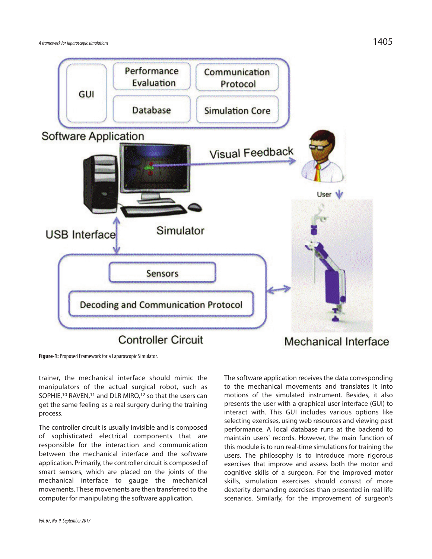

# Mechanical Interface

**Figure-1:** Proposed Framework for a Laparoscopic Simulator.

trainer, the mechanical interface should mimic the manipulators of the actual surgical robot, such as SOPHIE,<sup>10</sup> RAVEN,<sup>11</sup> and DLR MIRO,<sup>12</sup> so that the users can get the same feeling as a real surgery during the training process.

The controller circuit is usually invisible and is composed of sophisticated electrical components that are responsible for the interaction and communication between the mechanical interface and the software application. Primarily, the controller circuit is composed of smart sensors, which are placed on the joints of the mechanical interface to gauge the mechanical movements. These movements are then transferred to the computer for manipulating the software application.

The software application receives the data corresponding to the mechanical movements and translates it into motions of the simulated instrument. Besides, it also presents the user with a graphical user interface (GUI) to interact with. This GUI includes various options like selecting exercises, using web resources and viewing past performance. A local database runs at the backend to maintain users' records. However, the main function of this module is to run real-time simulations for training the users. The philosophy is to introduce more rigorous exercises that improve and assess both the motor and cognitive skills of a surgeon. For the improved motor skills, simulation exercises should consist of more dexterity demanding exercises than presented in real life scenarios. Similarly, for the improvement of surgeon's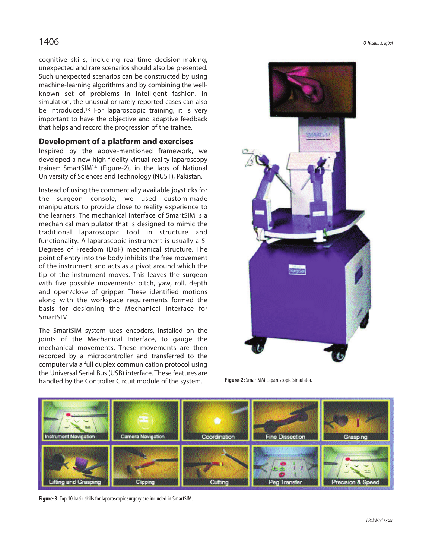cognitive skills, including real-time decision-making, unexpected and rare scenarios should also be presented. Such unexpected scenarios can be constructed by using machine-learning algorithms and by combining the wellknown set of problems in intelligent fashion. In simulation, the unusual or rarely reported cases can also be introduced.<sup>13</sup> For laparoscopic training, it is very important to have the objective and adaptive feedback that helps and record the progression of the trainee.

## **Development of a platform and exercises**

Inspired by the above-mentioned framework, we developed a new high-fidelity virtual reality laparoscopy trainer: SmartSIM<sup>14</sup> (Figure-2), in the labs of National University of Sciences and Technology (NUST), Pakistan.

Instead of using the commercially available joysticks for the surgeon console, we used custom-made manipulators to provide close to reality experience to the learners. The mechanical interface of SmartSIM is a mechanical manipulator that is designed to mimic the traditional laparoscopic tool in structure and functionality. A laparoscopic instrument is usually a 5- Degrees of Freedom (DoF) mechanical structure. The point of entry into the body inhibits the free movement of the instrument and acts as a pivot around which the tip of the instrument moves. This leaves the surgeon with five possible movements: pitch, yaw, roll, depth and open/close of gripper. These identified motions along with the workspace requirements formed the basis for designing the Mechanical Interface for SmartSIM.

The SmartSIM system uses encoders, installed on the joints of the Mechanical Interface, to gauge the mechanical movements. These movements are then recorded by a microcontroller and transferred to the computer via a full duplex communication protocol using the Universal Serial Bus (USB) interface. These features are handled by the Controller Circuit module of the system.



**Figure-2:** SmartSIM Laparoscopic Simulator.

![](_page_2_Figure_9.jpeg)

**Figure-3:** Top 10 basic skills for laparoscopic surgery are included in SmartSIM.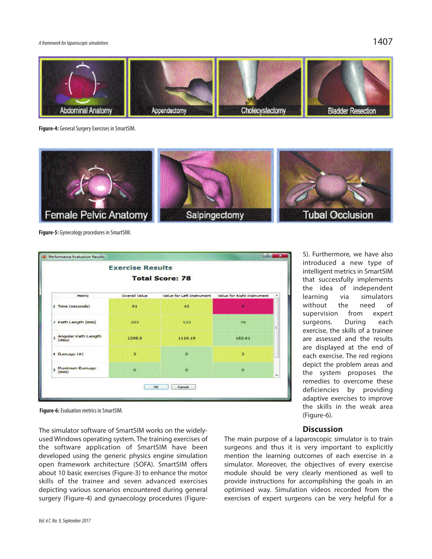#### A framework for laparoscopic simulations  $1407$

![](_page_3_Picture_2.jpeg)

**Figure-4:** General Surgery Exercises in SmartSIM.

![](_page_3_Picture_4.jpeg)

**Figure-5:** Gynecology procedures in SmartSIM.

![](_page_3_Figure_6.jpeg)

5). Furthermore, we have also introduced a new type of intelligent metrics in SmartSIM that successfully implements the idea of independent learning via simulators without the need of supervision from expert surgeons. During each exercise, the skills of a trainee are assessed and the results are displayed at the end of each exercise. The red regions depict the problem areas and the system proposes the remedies to overcome these deficiencies by providing adaptive exercises to improve the skills in the weak area (Figure-6).

**Figure-6:** Evaluation metrics in SmartSIM.

The simulator software of SmartSIM works on the widelyused Windows operating system. The training exercises of the software application of SmartSIM have been developed using the generic physics engine simulation open framework architecture (SOFA). SmartSIM offers about 10 basic exercises (Figure-3) to enhance the motor skills of the trainee and seven advanced exercises depicting various scenarios encountered during general surgery (Figure-4) and gynaecology procedures (Figure-

#### **Discussion**

The main purpose of a laparoscopic simulator is to train surgeons and thus it is very important to explicitly mention the learning outcomes of each exercise in a simulator. Moreover, the objectives of every exercise module should be very clearly mentioned as well to provide instructions for accomplishing the goals in an optimised way. Simulation videos recorded from the exercises of expert surgeons can be very helpful for a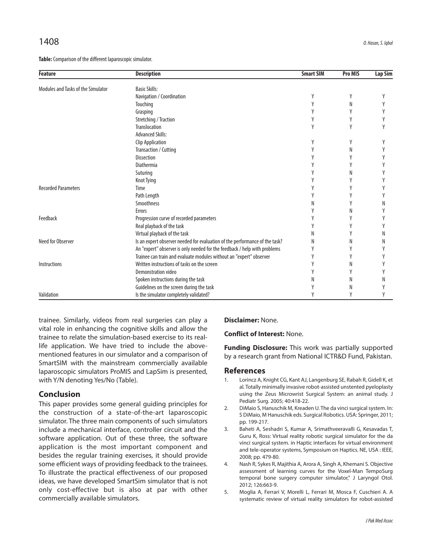**Table:** Comparison of the different laparoscopic simulator.

| <b>Feature</b>                     | <b>Description</b>                                                          | <b>Smart SIM</b> | <b>Pro MIS</b> | Lap Sim |
|------------------------------------|-----------------------------------------------------------------------------|------------------|----------------|---------|
| Modules and Tasks of the Simulator | <b>Basic Skills:</b>                                                        |                  |                |         |
|                                    | Navigation / Coordination                                                   | Υ                | Υ              |         |
|                                    | Touching                                                                    |                  | Ν              |         |
|                                    | Grasping                                                                    |                  |                |         |
|                                    | Stretching / Traction                                                       |                  |                |         |
|                                    | Translocation                                                               |                  | γ              |         |
|                                    | <b>Advanced Skills:</b>                                                     |                  |                |         |
|                                    | <b>Clip Application</b>                                                     |                  |                |         |
|                                    | Transaction / Cutting                                                       |                  | Ν              |         |
|                                    | <b>Dissection</b>                                                           |                  |                |         |
|                                    | Diathermia                                                                  |                  |                |         |
|                                    |                                                                             |                  | Ν              |         |
|                                    | Suturing                                                                    |                  |                |         |
| <b>Recorded Parameters</b>         | <b>Knot Tying</b><br>Time                                                   |                  |                |         |
|                                    |                                                                             |                  |                |         |
|                                    | Path Length<br>Smoothness                                                   |                  |                |         |
|                                    |                                                                             |                  |                |         |
| Feedback<br>Need for Observer      | Errors                                                                      |                  |                |         |
|                                    | Progression curve of recorded parameters                                    |                  |                |         |
|                                    | Real playback of the task                                                   |                  |                |         |
|                                    | Virtual playback of the task                                                |                  |                |         |
|                                    | Is an expert observer needed for evaluation of the performance of the task? | Ν                | Ν              | N       |
|                                    | An "expert" observer is only needed for the feedback / help with problems   |                  |                |         |
|                                    | Trainee can train and evaluate modules without an "expert" observer         |                  |                |         |
| Instructions                       | Written instructions of tasks on the screen                                 |                  | Ν              |         |
|                                    | Demonstration video                                                         |                  |                |         |
|                                    | Spoken instructions during the task                                         |                  | Ν              |         |
|                                    | Guidelines on the screen during the task                                    |                  | Ν              |         |
| Validation                         | Is the simulator completely validated?                                      |                  |                |         |

trainee. Similarly, videos from real surgeries can play a vital role in enhancing the cognitive skills and allow the trainee to relate the simulation-based exercise to its reallife application. We have tried to include the abovementioned features in our simulator and a comparison of SmartSIM with the mainstream commercially available laparoscopic simulators ProMIS and LapSim is presented, with Y/N denoting Yes/No (Table).

# **Conclusion**

This paper provides some general guiding principles for the construction of a state-of-the-art laparoscopic simulator. The three main components of such simulators include a mechanical interface, controller circuit and the software application. Out of these three, the software application is the most important component and besides the regular training exercises, it should provide some efficient ways of providing feedback to the trainees. To illustrate the practical effectiveness of our proposed ideas, we have developed SmartSim simulator that is not only cost-effective but is also at par with other commercially available simulators.

**Disclaimer:** None.

**Conflict of Interest:** None.

**Funding Disclosure:** This work was partially supported by a research grant from National ICTR&D Fund, Pakistan.

#### **References**

- 1. Lorincz A, Knight CG, Kant AJ, Langenburg SE, Rabah R, Gidell K, et al. Totally minimally invasive robot-assisted unstented pyeloplasty using the Zeus Microwrist Surgical System: an animal study. J Pediatr Surg. 2005; 40:418-22.
- 2. DiMaio S, Hanuschik M, Kreaden U. The da vinci surgical system. In: S DiMaio, M Hanuschik eds. Surgical Robotics. USA: Springer, 2011; pp. 199-217.
- 3. Baheti A, Seshadri S, Kumar A, Srimathveeravalli G, Kesavadas T, Guru K, Ross: Virtual reality robotic surgical simulator for the da vinci surgical system. in Haptic interfaces for virtual environment and tele-operator systems, Symposium on Haptics. NE, USA : IEEE, 2008; pp. 479-80.
- 4. Nash R, Sykes R, Majithia A, Arora A, Singh A, Khemani S. Objective assessment of learning curves for the Voxel-Man TempoSurg temporal bone surgery computer simulator," J Laryngol Otol. 2012; 126:663-9.
- 5. Moglia A, Ferrari V, Morelli L, Ferrari M, Mosca F, Cuschieri A. A systematic review of virtual reality simulators for robot-assisted